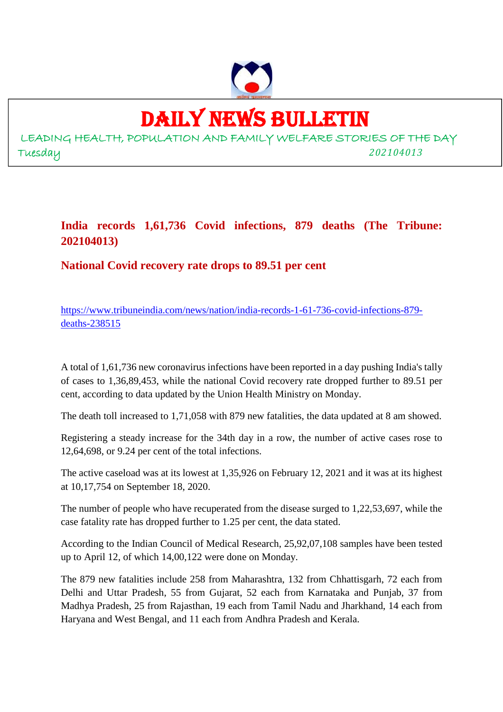

DAILY NEWS BULLETIN

LEADING HEALTH, POPULATION AND FAMILY WELFARE STORIES OF THE DAY Tuesday *202104013*

## **India records 1,61,736 Covid infections, 879 deaths (The Tribune: 202104013)**

**National Covid recovery rate drops to 89.51 per cent**

https://www.tribuneindia.com/news/nation/india-records-1-61-736-covid-infections-879 deaths-238515

A total of 1,61,736 new coronavirus infections have been reported in a day pushing India's tally of cases to 1,36,89,453, while the national Covid recovery rate dropped further to 89.51 per cent, according to data updated by the Union Health Ministry on Monday.

The death toll increased to 1,71,058 with 879 new fatalities, the data updated at 8 am showed.

Registering a steady increase for the 34th day in a row, the number of active cases rose to 12,64,698, or 9.24 per cent of the total infections.

The active caseload was at its lowest at 1,35,926 on February 12, 2021 and it was at its highest at 10,17,754 on September 18, 2020.

The number of people who have recuperated from the disease surged to 1,22,53,697, while the case fatality rate has dropped further to 1.25 per cent, the data stated.

According to the Indian Council of Medical Research, 25,92,07,108 samples have been tested up to April 12, of which 14,00,122 were done on Monday.

The 879 new fatalities include 258 from Maharashtra, 132 from Chhattisgarh, 72 each from Delhi and Uttar Pradesh, 55 from Gujarat, 52 each from Karnataka and Punjab, 37 from Madhya Pradesh, 25 from Rajasthan, 19 each from Tamil Nadu and Jharkhand, 14 each from Haryana and West Bengal, and 11 each from Andhra Pradesh and Kerala.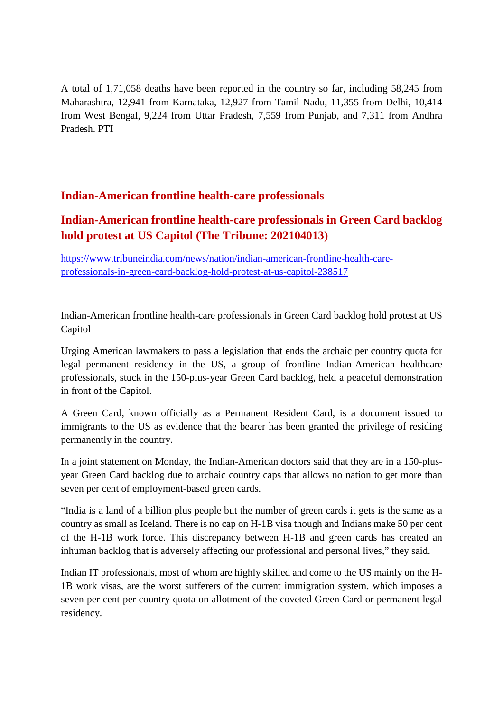A total of 1,71,058 deaths have been reported in the country so far, including 58,245 from Maharashtra, 12,941 from Karnataka, 12,927 from Tamil Nadu, 11,355 from Delhi, 10,414 from West Bengal, 9,224 from Uttar Pradesh, 7,559 from Punjab, and 7,311 from Andhra Pradesh. PTI

### **Indian-American frontline health-care professionals**

## **Indian-American frontline health-care professionals in Green Card backlog hold protest at US Capitol (The Tribune: 202104013)**

https://www.tribuneindia.com/news/nation/indian-american-frontline-health-careprofessionals-in-green-card-backlog-hold-protest-at-us-capitol-238517

Indian-American frontline health-care professionals in Green Card backlog hold protest at US Capitol

Urging American lawmakers to pass a legislation that ends the archaic per country quota for legal permanent residency in the US, a group of frontline Indian-American healthcare professionals, stuck in the 150-plus-year Green Card backlog, held a peaceful demonstration in front of the Capitol.

A Green Card, known officially as a Permanent Resident Card, is a document issued to immigrants to the US as evidence that the bearer has been granted the privilege of residing permanently in the country.

In a joint statement on Monday, the Indian-American doctors said that they are in a 150-plusyear Green Card backlog due to archaic country caps that allows no nation to get more than seven per cent of employment-based green cards.

"India is a land of a billion plus people but the number of green cards it gets is the same as a country as small as Iceland. There is no cap on H-1B visa though and Indians make 50 per cent of the H-1B work force. This discrepancy between H-1B and green cards has created an inhuman backlog that is adversely affecting our professional and personal lives," they said.

Indian IT professionals, most of whom are highly skilled and come to the US mainly on the H-1B work visas, are the worst sufferers of the current immigration system. which imposes a seven per cent per country quota on allotment of the coveted Green Card or permanent legal residency.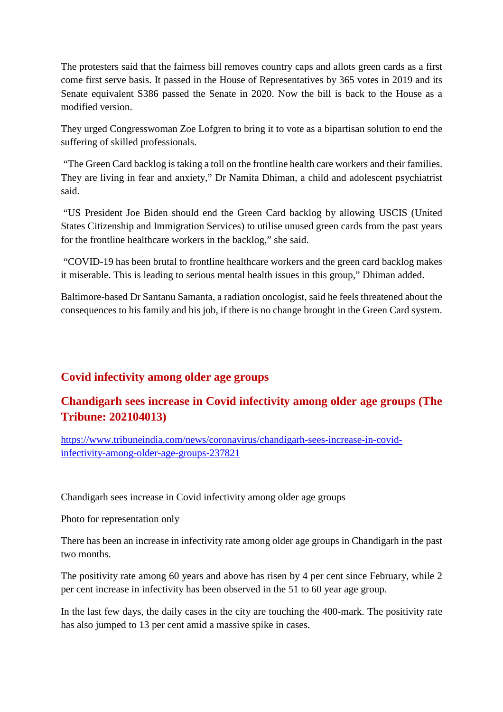The protesters said that the fairness bill removes country caps and allots green cards as a first come first serve basis. It passed in the House of Representatives by 365 votes in 2019 and its Senate equivalent S386 passed the Senate in 2020. Now the bill is back to the House as a modified version.

They urged Congresswoman Zoe Lofgren to bring it to vote as a bipartisan solution to end the suffering of skilled professionals.

"The Green Card backlog is taking a toll on the frontline health care workers and their families. They are living in fear and anxiety," Dr Namita Dhiman, a child and adolescent psychiatrist said.

"US President Joe Biden should end the Green Card backlog by allowing USCIS (United States Citizenship and Immigration Services) to utilise unused green cards from the past years for the frontline healthcare workers in the backlog," she said.

"COVID-19 has been brutal to frontline healthcare workers and the green card backlog makes it miserable. This is leading to serious mental health issues in this group," Dhiman added.

Baltimore-based Dr Santanu Samanta, a radiation oncologist, said he feels threatened about the consequences to his family and his job, if there is no change brought in the Green Card system.

### **Covid infectivity among older age groups**

# **Chandigarh sees increase in Covid infectivity among older age groups (The Tribune: 202104013)**

https://www.tribuneindia.com/news/coronavirus/chandigarh-sees-increase-in-covidinfectivity-among-older-age-groups-237821

Chandigarh sees increase in Covid infectivity among older age groups

Photo for representation only

There has been an increase in infectivity rate among older age groups in Chandigarh in the past two months.

The positivity rate among 60 years and above has risen by 4 per cent since February, while 2 per cent increase in infectivity has been observed in the 51 to 60 year age group.

In the last few days, the daily cases in the city are touching the 400-mark. The positivity rate has also jumped to 13 per cent amid a massive spike in cases.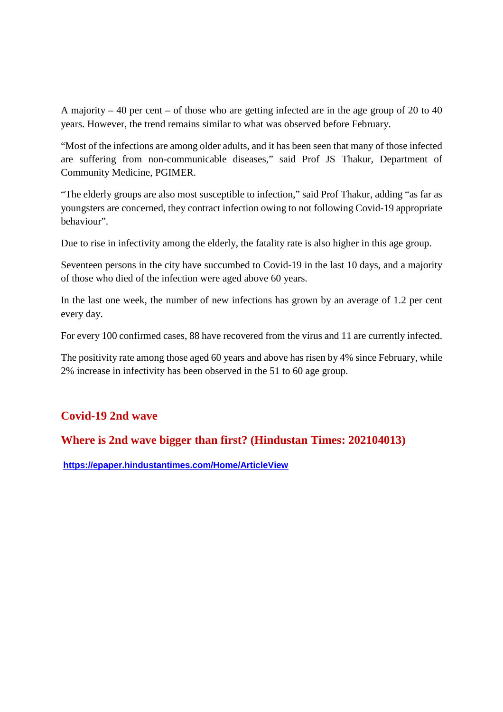A majority – 40 per cent – of those who are getting infected are in the age group of 20 to 40 years. However, the trend remains similar to what was observed before February.

"Most of the infections are among older adults, and it has been seen that many of those infected are suffering from non-communicable diseases," said Prof JS Thakur, Department of Community Medicine, PGIMER.

"The elderly groups are also most susceptible to infection," said Prof Thakur, adding "as far as youngsters are concerned, they contract infection owing to not following Covid-19 appropriate behaviour".

Due to rise in infectivity among the elderly, the fatality rate is also higher in this age group.

Seventeen persons in the city have succumbed to Covid-19 in the last 10 days, and a majority of those who died of the infection were aged above 60 years.

In the last one week, the number of new infections has grown by an average of 1.2 per cent every day.

For every 100 confirmed cases, 88 have recovered from the virus and 11 are currently infected.

The positivity rate among those aged 60 years and above has risen by 4% since February, while 2% increase in infectivity has been observed in the 51 to 60 age group.

### **Covid-19 2nd wave**

### **Where is 2nd wave bigger than first? (Hindustan Times: 202104013)**

**https://epaper.hindustantimes.com/Home/ArticleView**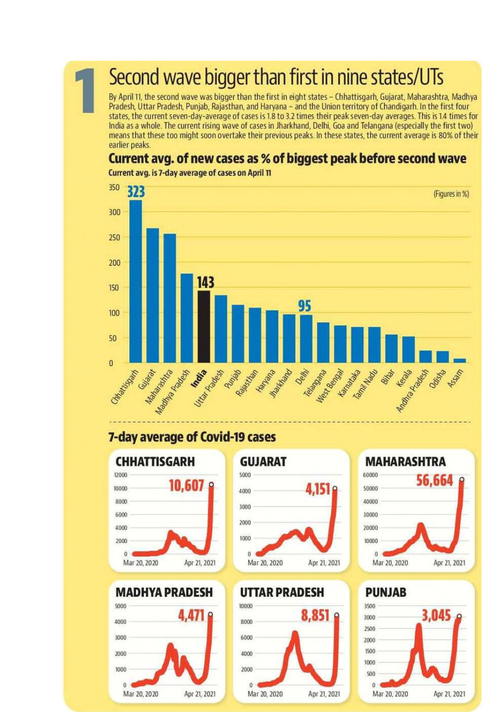# Second wave bigger than first in nine states/UTs

By April 11, the second wave was bigger than the first in eight states - Chhattisgarh, Gujarat, Maharashtra, Madhya Pradesh, Uttar Pradesh, Punjab, Rajasthan, and Haryana - and the Union territory of Chandigarh. In the first four states, the current seven-day-average of cases is 1.8 to 3.2 times their peak seven-day averages. This is 1.4 times for India as a whole. The current rising wave of cases in Jharkhand, Delhi, Goa and Telangana (especially the first two) means that these too might soon overtake their previous peaks. In these states, the current average is 80% of their earlier peaks.

# Current avg. of new cases as % of biggest peak before second wave



Current avg. is 7-day average of cases on April 11

# 7-day average of Covid-19 cases









# **UTTAR PRADESH**



3500

**PUNJAB** 

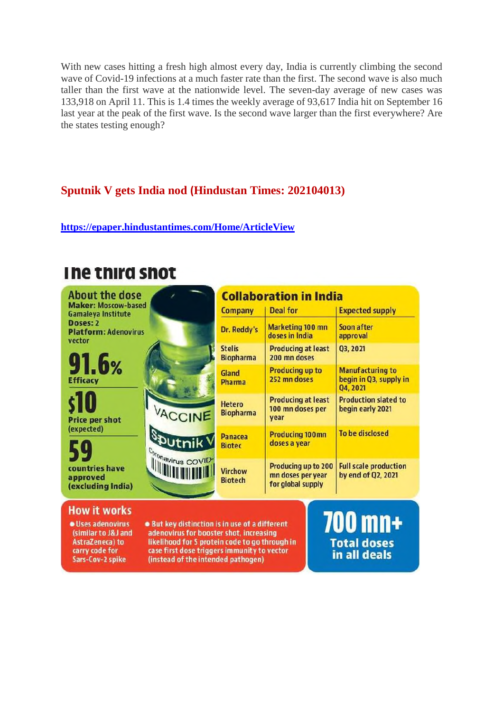With new cases hitting a fresh high almost every day, India is currently climbing the second wave of Covid-19 infections at a much faster rate than the first. The second wave is also much taller than the first wave at the nationwide level. The seven-day average of new cases was 133,918 on April 11. This is 1.4 times the weekly average of 93,617 India hit on September 16 last year at the peak of the first wave. Is the second wave larger than the first everywhere? Are the states testing enough?

### **Sputnik V gets India nod (Hindustan Times: 202104013)**

**https://epaper.hindustantimes.com/Home/ArticleView**

# The third shot

| <b>About the dose</b>                                               |                                                                                           | <b>Collaboration in India</b>     |                                                               |                                                               |
|---------------------------------------------------------------------|-------------------------------------------------------------------------------------------|-----------------------------------|---------------------------------------------------------------|---------------------------------------------------------------|
| <b>Maker: Moscow-based</b><br><b>Gamaleya Institute</b>             |                                                                                           | <b>Company</b>                    | <b>Deal for</b>                                               | <b>Expected supply</b>                                        |
| Doses: 2<br><b>Platform: Adenovirus</b><br>vector                   |                                                                                           | Dr. Reddy's                       | Marketing 100 mn<br>doses in India                            | Soon after<br>approval                                        |
| 91.6 <sub>%</sub><br><b>Efficacy</b>                                |                                                                                           | <b>Stelis</b><br><b>Biopharma</b> | <b>Producing at least</b><br>200 mn doses                     | Q3, 2021                                                      |
|                                                                     |                                                                                           | Gland<br><b>Pharma</b>            | <b>Producing up to</b><br>252 mn doses                        | <b>Manufacturing to</b><br>begin in Q3, supply in<br>Q4, 2021 |
| s10<br><b>Price per shot</b>                                        | VACCINE                                                                                   | <b>Hetero</b><br><b>Biopharma</b> | <b>Producing at least</b><br>100 mn doses per<br>year         | <b>Production slated to</b><br>begin early 2021               |
| (expected)<br>59<br>countries have<br>approved<br>(excluding India) | <b>Sputnik</b> V                                                                          | <b>Panacea</b><br><b>Biotec</b>   | <b>Producing 100mn</b><br>doses a year                        | To be disclosed                                               |
|                                                                     | Coronavirus COVID                                                                         | <b>Virchow</b><br><b>Biotech</b>  | Producing up to 200<br>mn doses per year<br>for global supply | <b>Full scale production</b><br>by end of Q2, 2021            |
| <b>How it works</b><br>· Uses adenovirus<br>(similar to J&J and     | . But key distinction is in use of a different<br>adenovirus for booster shot, increasing |                                   |                                                               | 700 mn+                                                       |

AstraZeneca) to carry code for Sars-Cov-2 spike

likelihood for S protein code to go through in case first dose triggers immunity to vector (instead of the intended pathogen)

**Total doses** in all deals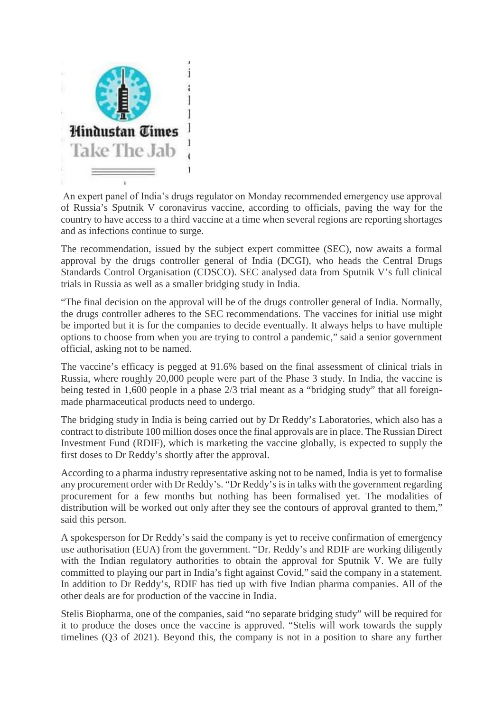

An expert panel of India's drugs regulator on Monday recommended emergency use approval of Russia's Sputnik V coronavirus vaccine, according to officials, paving the way for the country to have access to a third vaccine at a time when several regions are reporting shortages and as infections continue to surge.

The recommendation, issued by the subject expert committee (SEC), now awaits a formal approval by the drugs controller general of India (DCGI), who heads the Central Drugs Standards Control Organisation (CDSCO). SEC analysed data from Sputnik V's full clinical trials in Russia as well as a smaller bridging study in India.

"The final decision on the approval will be of the drugs controller general of India. Normally, the drugs controller adheres to the SEC recommendations. The vaccines for initial use might be imported but it is for the companies to decide eventually. It always helps to have multiple options to choose from when you are trying to control a pandemic," said a senior government official, asking not to be named.

The vaccine's efficacy is pegged at 91.6% based on the final assessment of clinical trials in Russia, where roughly 20,000 people were part of the Phase 3 study. In India, the vaccine is being tested in 1,600 people in a phase 2/3 trial meant as a "bridging study" that all foreignmade pharmaceutical products need to undergo.

The bridging study in India is being carried out by Dr Reddy's Laboratories, which also has a contract to distribute 100 million doses once the final approvals are in place. The Russian Direct Investment Fund (RDIF), which is marketing the vaccine globally, is expected to supply the first doses to Dr Reddy's shortly after the approval.

According to a pharma industry representative asking not to be named, India is yet to formalise any procurement order with Dr Reddy's. "Dr Reddy's is in talks with the government regarding procurement for a few months but nothing has been formalised yet. The modalities of distribution will be worked out only after they see the contours of approval granted to them," said this person.

A spokesperson for Dr Reddy's said the company is yet to receive confirmation of emergency use authorisation (EUA) from the government. "Dr. Reddy's and RDIF are working diligently with the Indian regulatory authorities to obtain the approval for Sputnik V. We are fully committed to playing our part in India's fight against Covid," said the company in a statement. In addition to Dr Reddy's, RDIF has tied up with five Indian pharma companies. All of the other deals are for production of the vaccine in India.

Stelis Biopharma, one of the companies, said "no separate bridging study" will be required for it to produce the doses once the vaccine is approved. "Stelis will work towards the supply timelines (Q3 of 2021). Beyond this, the company is not in a position to share any further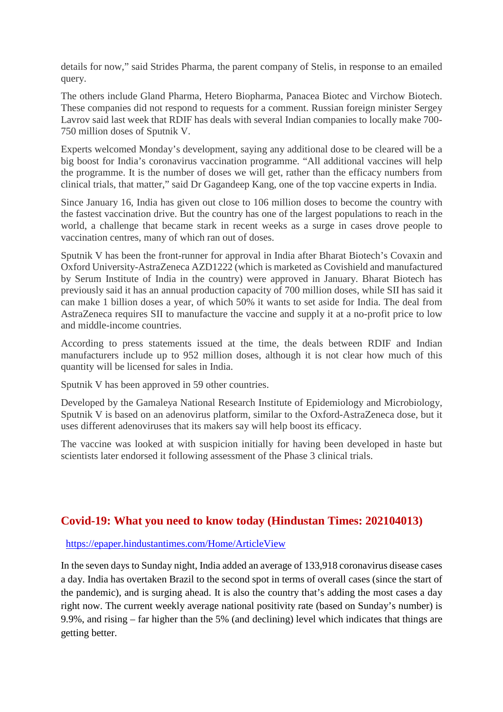details for now," said Strides Pharma, the parent company of Stelis, in response to an emailed query.

The others include Gland Pharma, Hetero Biopharma, Panacea Biotec and Virchow Biotech. These companies did not respond to requests for a comment. Russian foreign minister Sergey Lavrov said last week that RDIF has deals with several Indian companies to locally make 700- 750 million doses of Sputnik V.

Experts welcomed Monday's development, saying any additional dose to be cleared will be a big boost for India's coronavirus vaccination programme. "All additional vaccines will help the programme. It is the number of doses we will get, rather than the efficacy numbers from clinical trials, that matter," said Dr Gagandeep Kang, one of the top vaccine experts in India.

Since January 16, India has given out close to 106 million doses to become the country with the fastest vaccination drive. But the country has one of the largest populations to reach in the world, a challenge that became stark in recent weeks as a surge in cases drove people to vaccination centres, many of which ran out of doses.

Sputnik V has been the front-runner for approval in India after Bharat Biotech's Covaxin and Oxford University-AstraZeneca AZD1222 (which is marketed as Covishield and manufactured by Serum Institute of India in the country) were approved in January. Bharat Biotech has previously said it has an annual production capacity of 700 million doses, while SII has said it can make 1 billion doses a year, of which 50% it wants to set aside for India. The deal from AstraZeneca requires SII to manufacture the vaccine and supply it at a no-profit price to low and middle-income countries.

According to press statements issued at the time, the deals between RDIF and Indian manufacturers include up to 952 million doses, although it is not clear how much of this quantity will be licensed for sales in India.

Sputnik V has been approved in 59 other countries.

Developed by the Gamaleya National Research Institute of Epidemiology and Microbiology, Sputnik V is based on an adenovirus platform, similar to the Oxford-AstraZeneca dose, but it uses different adenoviruses that its makers say will help boost its efficacy.

The vaccine was looked at with suspicion initially for having been developed in haste but scientists later endorsed it following assessment of the Phase 3 clinical trials.

### **Covid-19: What you need to know today (Hindustan Times: 202104013)**

### https://epaper.hindustantimes.com/Home/ArticleView

In the seven days to Sunday night, India added an average of 133,918 coronavirus disease cases a day. India has overtaken Brazil to the second spot in terms of overall cases (since the start of the pandemic), and is surging ahead. It is also the country that's adding the most cases a day right now. The current weekly average national positivity rate (based on Sunday's number) is 9.9%, and rising – far higher than the 5% (and declining) level which indicates that things are getting better.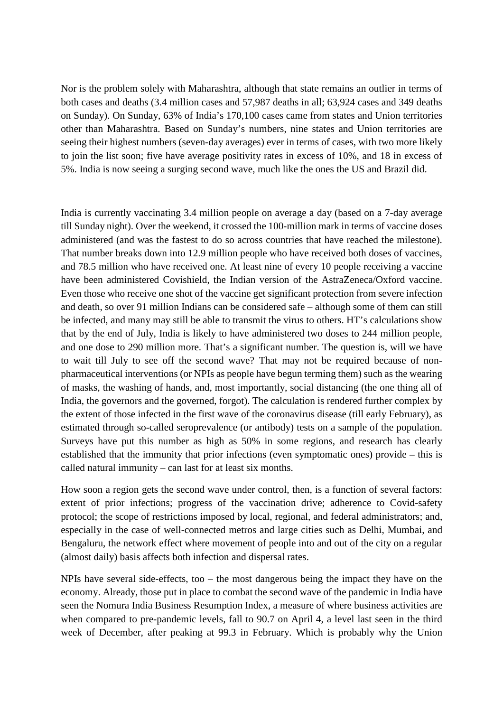Nor is the problem solely with Maharashtra, although that state remains an outlier in terms of both cases and deaths (3.4 million cases and 57,987 deaths in all; 63,924 cases and 349 deaths on Sunday). On Sunday, 63% of India's 170,100 cases came from states and Union territories other than Maharashtra. Based on Sunday's numbers, nine states and Union territories are seeing their highest numbers (seven-day averages) ever in terms of cases, with two more likely to join the list soon; five have average positivity rates in excess of 10%, and 18 in excess of 5%. India is now seeing a surging second wave, much like the ones the US and Brazil did.

India is currently vaccinating 3.4 million people on average a day (based on a 7-day average till Sunday night). Over the weekend, it crossed the 100-million mark in terms of vaccine doses administered (and was the fastest to do so across countries that have reached the milestone). That number breaks down into 12.9 million people who have received both doses of vaccines, and 78.5 million who have received one. At least nine of every 10 people receiving a vaccine have been administered Covishield, the Indian version of the AstraZeneca/Oxford vaccine. Even those who receive one shot of the vaccine get significant protection from severe infection and death, so over 91 million Indians can be considered safe – although some of them can still be infected, and many may still be able to transmit the virus to others. HT's calculations show that by the end of July, India is likely to have administered two doses to 244 million people, and one dose to 290 million more. That's a significant number. The question is, will we have to wait till July to see off the second wave? That may not be required because of nonpharmaceutical interventions (or NPIs as people have begun terming them) such as the wearing of masks, the washing of hands, and, most importantly, social distancing (the one thing all of India, the governors and the governed, forgot). The calculation is rendered further complex by the extent of those infected in the first wave of the coronavirus disease (till early February), as estimated through so-called seroprevalence (or antibody) tests on a sample of the population. Surveys have put this number as high as 50% in some regions, and research has clearly established that the immunity that prior infections (even symptomatic ones) provide – this is called natural immunity – can last for at least six months.

How soon a region gets the second wave under control, then, is a function of several factors: extent of prior infections; progress of the vaccination drive; adherence to Covid-safety protocol; the scope of restrictions imposed by local, regional, and federal administrators; and, especially in the case of well-connected metros and large cities such as Delhi, Mumbai, and Bengaluru, the network effect where movement of people into and out of the city on a regular (almost daily) basis affects both infection and dispersal rates.

NPIs have several side-effects, too – the most dangerous being the impact they have on the economy. Already, those put in place to combat the second wave of the pandemic in India have seen the Nomura India Business Resumption Index, a measure of where business activities are when compared to pre-pandemic levels, fall to 90.7 on April 4, a level last seen in the third week of December, after peaking at 99.3 in February. Which is probably why the Union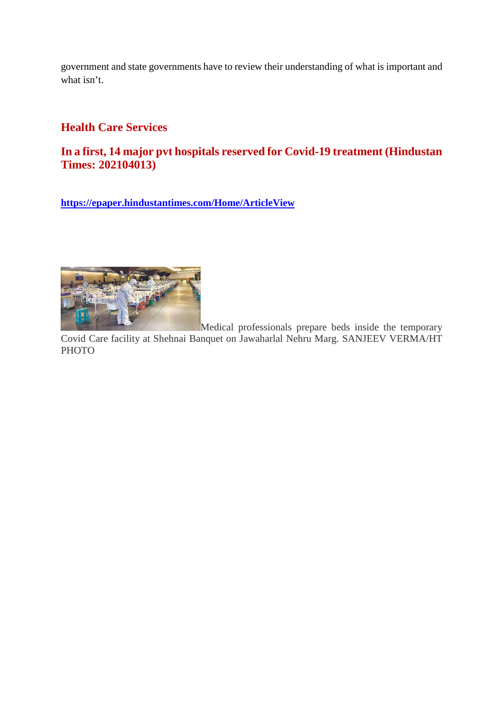government and state governments have to review their understanding of what is important and what isn't.

### **Health Care Services**

### **In a first, 14 major pvt hospitals reserved for Covid-19 treatment (Hindustan Times: 202104013)**

**https://epaper.hindustantimes.com/Home/ArticleView**



Medical professionals prepare beds inside the temporary Covid Care facility at Shehnai Banquet on Jawaharlal Nehru Marg. SANJEEV VERMA/HT **PHOTO**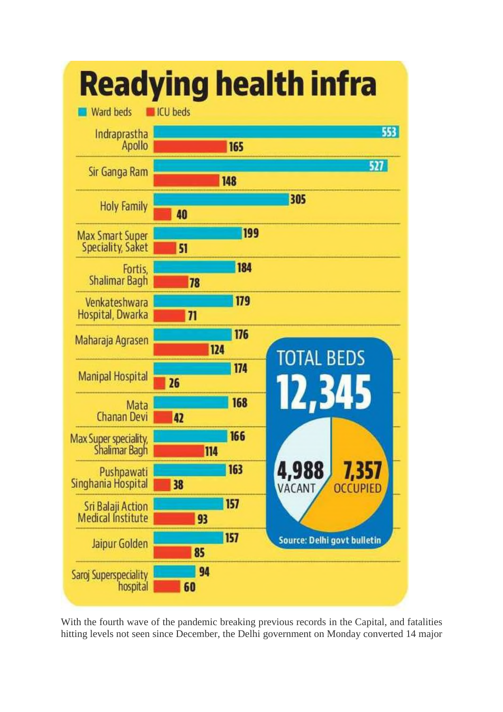

With the fourth wave of the pandemic breaking previous records in the Capital, and fatalities hitting levels not seen since December, the Delhi government on Monday converted 14 major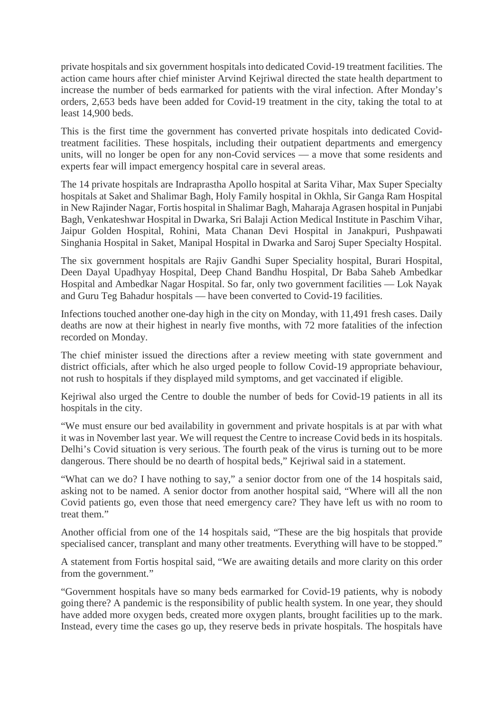private hospitals and six government hospitals into dedicated Covid-19 treatment facilities. The action came hours after chief minister Arvind Kejriwal directed the state health department to increase the number of beds earmarked for patients with the viral infection. After Monday's orders, 2,653 beds have been added for Covid-19 treatment in the city, taking the total to at least 14,900 beds.

This is the first time the government has converted private hospitals into dedicated Covidtreatment facilities. These hospitals, including their outpatient departments and emergency units, will no longer be open for any non-Covid services — a move that some residents and experts fear will impact emergency hospital care in several areas.

The 14 private hospitals are Indraprastha Apollo hospital at Sarita Vihar, Max Super Specialty hospitals at Saket and Shalimar Bagh, Holy Family hospital in Okhla, Sir Ganga Ram Hospital in New Rajinder Nagar, Fortis hospital in Shalimar Bagh, Maharaja Agrasen hospital in Punjabi Bagh, Venkateshwar Hospital in Dwarka, Sri Balaji Action Medical Institute in Paschim Vihar, Jaipur Golden Hospital, Rohini, Mata Chanan Devi Hospital in Janakpuri, Pushpawati Singhania Hospital in Saket, Manipal Hospital in Dwarka and Saroj Super Specialty Hospital.

The six government hospitals are Rajiv Gandhi Super Speciality hospital, Burari Hospital, Deen Dayal Upadhyay Hospital, Deep Chand Bandhu Hospital, Dr Baba Saheb Ambedkar Hospital and Ambedkar Nagar Hospital. So far, only two government facilities — Lok Nayak and Guru Teg Bahadur hospitals — have been converted to Covid-19 facilities.

Infections touched another one-day high in the city on Monday, with 11,491 fresh cases. Daily deaths are now at their highest in nearly five months, with 72 more fatalities of the infection recorded on Monday.

The chief minister issued the directions after a review meeting with state government and district officials, after which he also urged people to follow Covid-19 appropriate behaviour, not rush to hospitals if they displayed mild symptoms, and get vaccinated if eligible.

Kejriwal also urged the Centre to double the number of beds for Covid-19 patients in all its hospitals in the city.

"We must ensure our bed availability in government and private hospitals is at par with what it was in November last year. We will request the Centre to increase Covid beds in its hospitals. Delhi's Covid situation is very serious. The fourth peak of the virus is turning out to be more dangerous. There should be no dearth of hospital beds," Kejriwal said in a statement.

"What can we do? I have nothing to say," a senior doctor from one of the 14 hospitals said, asking not to be named. A senior doctor from another hospital said, "Where will all the non Covid patients go, even those that need emergency care? They have left us with no room to treat them."

Another official from one of the 14 hospitals said, "These are the big hospitals that provide specialised cancer, transplant and many other treatments. Everything will have to be stopped."

A statement from Fortis hospital said, "We are awaiting details and more clarity on this order from the government."

"Government hospitals have so many beds earmarked for Covid-19 patients, why is nobody going there? A pandemic is the responsibility of public health system. In one year, they should have added more oxygen beds, created more oxygen plants, brought facilities up to the mark. Instead, every time the cases go up, they reserve beds in private hospitals. The hospitals have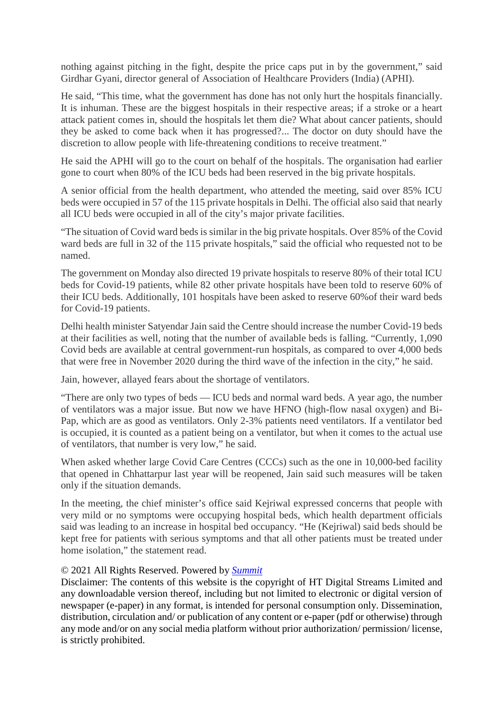nothing against pitching in the fight, despite the price caps put in by the government," said Girdhar Gyani, director general of Association of Healthcare Providers (India) (APHI).

He said, "This time, what the government has done has not only hurt the hospitals financially. It is inhuman. These are the biggest hospitals in their respective areas; if a stroke or a heart attack patient comes in, should the hospitals let them die? What about cancer patients, should they be asked to come back when it has progressed?... The doctor on duty should have the discretion to allow people with life-threatening conditions to receive treatment."

He said the APHI will go to the court on behalf of the hospitals. The organisation had earlier gone to court when 80% of the ICU beds had been reserved in the big private hospitals.

A senior official from the health department, who attended the meeting, said over 85% ICU beds were occupied in 57 of the 115 private hospitals in Delhi. The official also said that nearly all ICU beds were occupied in all of the city's major private facilities.

"The situation of Covid ward beds is similar in the big private hospitals. Over 85% of the Covid ward beds are full in 32 of the 115 private hospitals," said the official who requested not to be named.

The government on Monday also directed 19 private hospitals to reserve 80% of their total ICU beds for Covid-19 patients, while 82 other private hospitals have been told to reserve 60% of their ICU beds. Additionally, 101 hospitals have been asked to reserve 60%of their ward beds for Covid-19 patients.

Delhi health minister Satyendar Jain said the Centre should increase the number Covid-19 beds at their facilities as well, noting that the number of available beds is falling. "Currently, 1,090 Covid beds are available at central government-run hospitals, as compared to over 4,000 beds that were free in November 2020 during the third wave of the infection in the city," he said.

Jain, however, allayed fears about the shortage of ventilators.

"There are only two types of beds — ICU beds and normal ward beds. A year ago, the number of ventilators was a major issue. But now we have HFNO (high-flow nasal oxygen) and Bi-Pap, which are as good as ventilators. Only 2-3% patients need ventilators. If a ventilator bed is occupied, it is counted as a patient being on a ventilator, but when it comes to the actual use of ventilators, that number is very low," he said.

When asked whether large Covid Care Centres (CCCs) such as the one in 10,000-bed facility that opened in Chhattarpur last year will be reopened, Jain said such measures will be taken only if the situation demands.

In the meeting, the chief minister's office said Kejriwal expressed concerns that people with very mild or no symptoms were occupying hospital beds, which health department officials said was leading to an increase in hospital bed occupancy. "He (Kejriwal) said beds should be kept free for patients with serious symptoms and that all other patients must be treated under home isolation," the statement read.

### © 2021 All Rights Reserved. Powered by *Summit*

Disclaimer: The contents of this website is the copyright of HT Digital Streams Limited and any downloadable version thereof, including but not limited to electronic or digital version of newspaper (e-paper) in any format, is intended for personal consumption only. Dissemination, distribution, circulation and/ or publication of any content or e-paper (pdf or otherwise) through any mode and/or on any social media platform without prior authorization/ permission/ license, is strictly prohibited.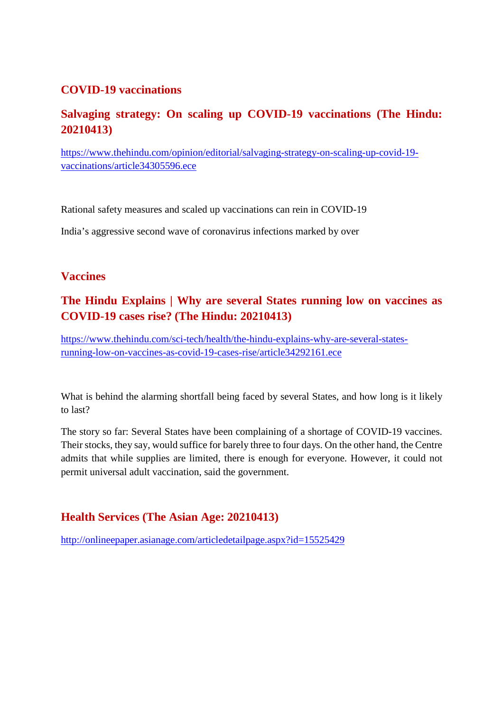### **COVID-19 vaccinations**

### **Salvaging strategy: On scaling up COVID-19 vaccinations (The Hindu: 20210413)**

https://www.thehindu.com/opinion/editorial/salvaging-strategy-on-scaling-up-covid-19 vaccinations/article34305596.ece

Rational safety measures and scaled up vaccinations can rein in COVID-19

India's aggressive second wave of coronavirus infections marked by over

### **Vaccines**

# **The Hindu Explains | Why are several States running low on vaccines as COVID-19 cases rise? (The Hindu: 20210413)**

https://www.thehindu.com/sci-tech/health/the-hindu-explains-why-are-several-statesrunning-low-on-vaccines-as-covid-19-cases-rise/article34292161.ece

What is behind the alarming shortfall being faced by several States, and how long is it likely to last?

The story so far: Several States have been complaining of a shortage of COVID-19 vaccines. Their stocks, they say, would suffice for barely three to four days. On the other hand, the Centre admits that while supplies are limited, there is enough for everyone. However, it could not permit universal adult vaccination, said the government.

### **Health Services (The Asian Age: 20210413)**

http://onlineepaper.asianage.com/articledetailpage.aspx?id=15525429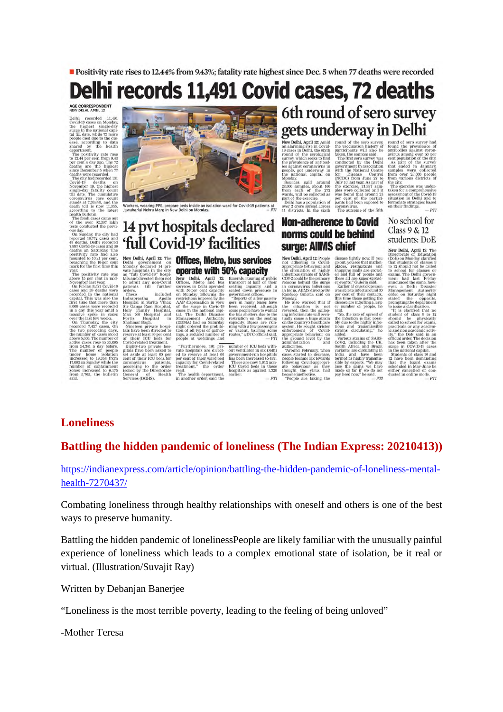Positivity rate rises to 12.44% from 9.43%; fatality rate highest since Dec. 5 when 77 deaths were recorded

# Delhi records 11,491 Covid cases, 72 deaths

AGE CORRESPONDENT

hi recorded<br>id-19 cases on 11,491

Delhi recorded 11.491 reduced and the highest single-day same properties and the highest single-day same in the national capitality is the ease, according to data this shared by the health department. The positivity rate

tests conducted the previ-<br>tests conducted the previ-<br>On Sunday, the city had<br>reported 10,772 cases and<br> $48$  deaths. Delhi recorded<br>7,897 Covid-19 cases and 39<br>positivity rate had also<br>mounted to 10.21 per eent,<br>breaching

mark for the first time this<br>war. The positivity rate was<br>above 15 per cent in mid-<br>above 15 per cent in mid-<br>convented in the national<br>cases and 39 deaths were<br>recorded in the national<br>cases and 39 deaths were<br>cepted in t ove 5,000. The number of<br>tive cases rose to 38,095<br>om 34,341 a day before.<br>he number of people<br>der home isolation<br>creased to 19,354 from<br>093 on Sunday while the<br>marker of containment set aside at least 60 per<br>cent of their ICU beds for<br>coronavirus — patients coronavirus patients,<br>according to the order<br>issued by the Directorate<br>General of Health<br>Services (DGHS). zones increased to 6,175<br>from 5,705, the bulletin



Workers, wearing PPE, prepare beds inside an isolation ward for Covid-19 patients at Jawaharlai Nehru Marg in New Delhi on Monday.  $-$  PTI

# 14 pvt hospitals declared 'full Covid-19' facilities New Delhi, April 12: The New Delhi April 12: The Monday declared 14 pril<br>The value of the state and the state and the state and the state to a<br>state that and directed them not covid the monday of the Monday House<br>Monday Ho

Offices, Metro, bus services operate with 50% capacity

**OPCFTRIC WITH DEVICE SERVICE SUPPOSES** in Delhi operated with solely with solely with solely respective respective respective respective respective respective respective of the function of all type respectively. The Delhi

funerals, running of public<br>transport at half of their<br>seating capacity and a<br>scaled down presence in<br>covernment offices

seating capacity and a scatter seater<br>scatter and cover presence in government of<br>fluces. The gravity seater of the gravity seater and gravity seater<br>been recorded, although some people have to write the bus shelters due said.<br>PTT

 $\begin{array}{c} -PTI \\ \hline \text{number of ICU best} \\ \text{out ventilator in six Delhi} \\ \text{power} \\ \text{has been increased to 487.} \\ \text{There are now 1,913 not} \\ \text{There are now 1,913 not} \\ \text{ICU Covil best in these} \\ \text{nospitals as against 1,320} \\ \end{array}$ 

# 6th round of sero survey gets underway in Delhi

New Delhi, April 12: Aniid<br>
New Delhi, April 12: Aniid<br>
nn alarming rise in Covid-<br>
19 cases in Delhi, the strelogical<br>
survey, which seeks to Dind<br>
the positive seesman<br>
the positive conserver in the<br>
the national capital

ay.<br>
reas said around<br>
samples, about 100<br>
each of the 272<br>
, will be collected as<br>
f the exercise.  $\begin{array}{c} 28,000 \\ \text{from} \\ \text{wards}, \\ \text{part of} \\ \text{Delhi} \end{array}$ 000 sample has a population of

New Delhi, April 12: People<br>not adhering to Covid<br>appropriate beautour and<br>mechanism in the chosen of SARS<br>from a strain of SARS<br>reasons behind the primary<br>reasons behind the surge<br>in nonavirus infections<br>in conservation a

over 2 crore spr<br>11 districts. In ead across<br>the\_sixth coronavirus.<br>The outcome of the fifth

surge: AllMS chief

**Non-adherence to Covid** 

norms could be behind

the sero<br>inntion history<br>ants will also<br>ssaid. participa parameters and the sources said.<br>The first sero survey was<br>conducted by the Delhi<br>government in association<br>with the National Centre with the National Centre<br>for Disease Control<br>(NCDC) from June 27 to<br>July 10 last year: As part of<br>the exercise. 21,387 sam-<br>ples were collected and it<br>was found that around 23<br>means found that around 23 samples were collect<br>from over 25,000 peot<br>from various districts<br>the city.

the rate of spread of<br>nfection is fast possi-<br>ue to the highly infec-"So, the rate of spreak the infection is fast p<br>bly due to the highly i<br>tious and transmis<br>strains circulating."

anea.<br>Various strains of SARS-

 $\begin{tabular}{ll} &\textit{counting} \textit{th} \\ \hline \textit{var} \textit{ants, are circular} \\ \hline \textit{India} \textit{ and have} \\ \textit{lrndia} \textit{ and have} \\ \textit{simple by experts.} \\ \textit{mble by experts.} \\ \hline \textit{blue to get} \textit{the gains} \\ \textit{true do} \textit{may head now} \textit{the} \\ \textit{map} \textit{head} \textit{now} \textit{the} \\ \hline \textit{new} \textit{the} \textit{new} \textit{the} \\ \end{tabular}$ CoV-2, including the<br>South Africa and Br<br>variants are circulatin

ble<br>he

e UK<br>Brazil<br>ing in<br>been

ve been<br>transmis-<br>"We may<br>we have<br>beasid.<br>- PTI

the city.<br>The exercise was under-<br>taken for a comprehensive<br>assessment of the Covid-19<br>situation in Delhi and to was found that around 23<br>per-cent-of-the-partici-<br>pants had been exposed to  $-PT$ 

### No school for **Class 9 & 12** students: DoE

population is a part of the state and the state of the state of the state of the state of the state of the state of the state of the state of the state of the state of the state of the state of the state of the state of th

arrve

New Delhi, April 12: The disease lightly now If you<br>goout, you see that market-places, restaurants and<br>shopping malls are crowed-<br>ed and full of people and are separated these all are superspread<br>these all are superspread<br>error was able to infect Directorate of Education<br>(DoE) on Monday clarified<br>that students of classes 9<br>to 12 should not be called<br>to school for classes or for classe.<br>Delhi govern<br>Last Friday<br>same, how to school f<br>exams. The<br>ment had a Delhi Disa<br>a Delhi Disa ever, a Learn Disaster<br>
Sanagement Authority<br>
der on Saturday night<br>
ated the opposite,<br>
ompting the department<br>
learn a cheap of the same order<br>stated tions utone getting the<br>disease are infecting a larg-<br>er number of people, he<br>said.

ue a clarification.<br>is clarified that<br>mt of class 9 to ic and non aca<br>ity," the DoE<br>official order." , 83.<br>The has been taken after the<br>surge in COVID-19 cases<br>in the national capital.

in the national capital.<br>Students of class 10 and<br>12 have been demanding<br>that the board exams<br>scheduled in May-June been<br>either cancelled or con-<br>ducted in online mode.

 $p_{TT}$ 

"Furthermore, 101 private hospitals are directed to reserve at least 60 per cent of their ward bed capacity for Covid-related treatment," the order

read.<br>The health department,<br>in another order, said the

in India, AIIMS durease $\ldots$  Monday Guleria said on Monday Guleria shows the situation is not the several during interesting the several state and on the country's health of the sought strictly appropriate the spromagneou appropriate beh<br>the ground les<br>administration auministration<br>authorities.<br>"Around February when<br>cases started to decrease,<br>people became lax towards<br>tollowing Covid-approprime<br>ate behaviour as they<br>become ineffective.<br>"People are taking the<br>"People are taking the

 $-PTI$ 

# **Loneliness**

### Battling the hidden pandemic of loneliness (The Indian Express: 20210413))

https://indianexpress.com/article/opinion/battling-the-hidden-pandemic-of-loneliness-mentalhealth-7270437/

Combating loneliness through healthy relationships with oneself and others is one of the best ways to preserve humanity.

Battling the hidden pandemic of lonelinessPeople are likely familiar with the unusually painful experience of loneliness which leads to a complex emotional state of isolation, be it real or virtual. (Illustration/Suvajit Ray)

Written by Debanjan Banerjee

"Loneliness is the most terrible poverty, leading to the feeling of being unloved"

-Mother Teresa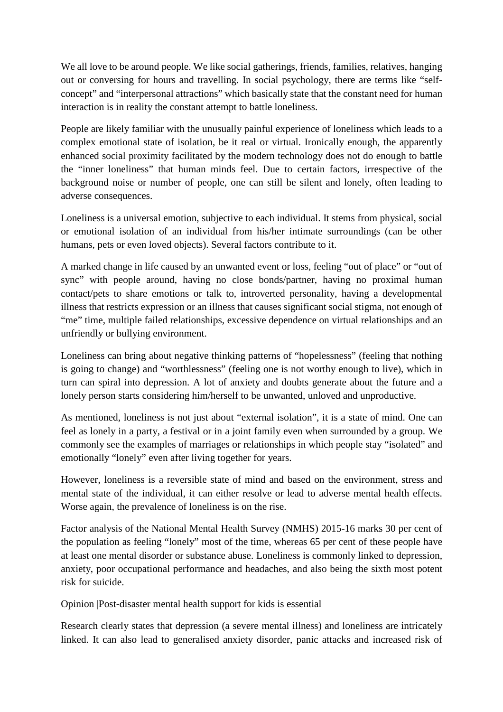We all love to be around people. We like social gatherings, friends, families, relatives, hanging out or conversing for hours and travelling. In social psychology, there are terms like "selfconcept" and "interpersonal attractions" which basically state that the constant need for human interaction is in reality the constant attempt to battle loneliness.

People are likely familiar with the unusually painful experience of loneliness which leads to a complex emotional state of isolation, be it real or virtual. Ironically enough, the apparently enhanced social proximity facilitated by the modern technology does not do enough to battle the "inner loneliness" that human minds feel. Due to certain factors, irrespective of the background noise or number of people, one can still be silent and lonely, often leading to adverse consequences.

Loneliness is a universal emotion, subjective to each individual. It stems from physical, social or emotional isolation of an individual from his/her intimate surroundings (can be other humans, pets or even loved objects). Several factors contribute to it.

A marked change in life caused by an unwanted event or loss, feeling "out of place" or "out of sync" with people around, having no close bonds/partner, having no proximal human contact/pets to share emotions or talk to, introverted personality, having a developmental illness that restricts expression or an illness that causes significant social stigma, not enough of "me" time, multiple failed relationships, excessive dependence on virtual relationships and an unfriendly or bullying environment.

Loneliness can bring about negative thinking patterns of "hopelessness" (feeling that nothing is going to change) and "worthlessness" (feeling one is not worthy enough to live), which in turn can spiral into depression. A lot of anxiety and doubts generate about the future and a lonely person starts considering him/herself to be unwanted, unloved and unproductive.

As mentioned, loneliness is not just about "external isolation", it is a state of mind. One can feel as lonely in a party, a festival or in a joint family even when surrounded by a group. We commonly see the examples of marriages or relationships in which people stay "isolated" and emotionally "lonely" even after living together for years.

However, loneliness is a reversible state of mind and based on the environment, stress and mental state of the individual, it can either resolve or lead to adverse mental health effects. Worse again, the prevalence of loneliness is on the rise.

Factor analysis of the National Mental Health Survey (NMHS) 2015-16 marks 30 per cent of the population as feeling "lonely" most of the time, whereas 65 per cent of these people have at least one mental disorder or substance abuse. Loneliness is commonly linked to depression, anxiety, poor occupational performance and headaches, and also being the sixth most potent risk for suicide.

Opinion |Post-disaster mental health support for kids is essential

Research clearly states that depression (a severe mental illness) and loneliness are intricately linked. It can also lead to generalised anxiety disorder, panic attacks and increased risk of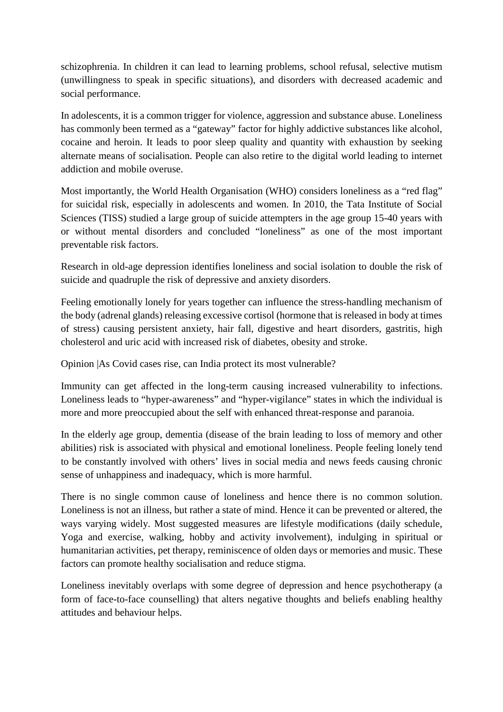schizophrenia. In children it can lead to learning problems, school refusal, selective mutism (unwillingness to speak in specific situations), and disorders with decreased academic and social performance.

In adolescents, it is a common trigger for violence, aggression and substance abuse. Loneliness has commonly been termed as a "gateway" factor for highly addictive substances like alcohol, cocaine and heroin. It leads to poor sleep quality and quantity with exhaustion by seeking alternate means of socialisation. People can also retire to the digital world leading to internet addiction and mobile overuse.

Most importantly, the World Health Organisation (WHO) considers loneliness as a "red flag" for suicidal risk, especially in adolescents and women. In 2010, the Tata Institute of Social Sciences (TISS) studied a large group of suicide attempters in the age group 15-40 years with or without mental disorders and concluded "loneliness" as one of the most important preventable risk factors.

Research in old-age depression identifies loneliness and social isolation to double the risk of suicide and quadruple the risk of depressive and anxiety disorders.

Feeling emotionally lonely for years together can influence the stress-handling mechanism of the body (adrenal glands) releasing excessive cortisol (hormone that is released in body at times of stress) causing persistent anxiety, hair fall, digestive and heart disorders, gastritis, high cholesterol and uric acid with increased risk of diabetes, obesity and stroke.

Opinion |As Covid cases rise, can India protect its most vulnerable?

Immunity can get affected in the long-term causing increased vulnerability to infections. Loneliness leads to "hyper-awareness" and "hyper-vigilance" states in which the individual is more and more preoccupied about the self with enhanced threat-response and paranoia.

In the elderly age group, dementia (disease of the brain leading to loss of memory and other abilities) risk is associated with physical and emotional loneliness. People feeling lonely tend to be constantly involved with others' lives in social media and news feeds causing chronic sense of unhappiness and inadequacy, which is more harmful.

There is no single common cause of loneliness and hence there is no common solution. Loneliness is not an illness, but rather a state of mind. Hence it can be prevented or altered, the ways varying widely. Most suggested measures are lifestyle modifications (daily schedule, Yoga and exercise, walking, hobby and activity involvement), indulging in spiritual or humanitarian activities, pet therapy, reminiscence of olden days or memories and music. These factors can promote healthy socialisation and reduce stigma.

Loneliness inevitably overlaps with some degree of depression and hence psychotherapy (a form of face-to-face counselling) that alters negative thoughts and beliefs enabling healthy attitudes and behaviour helps.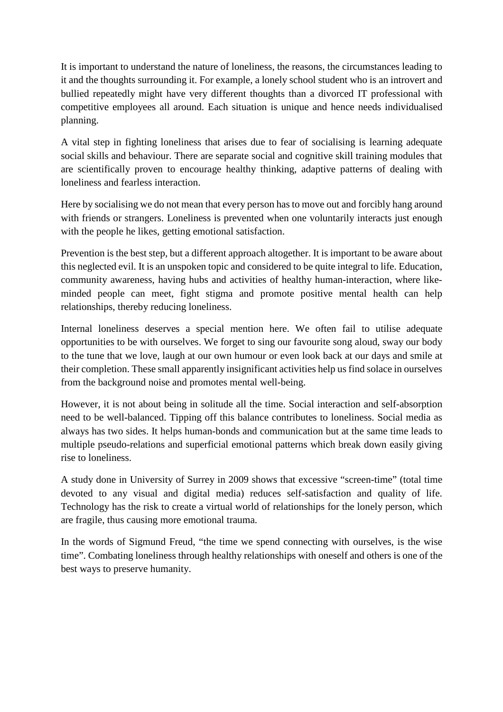It is important to understand the nature of loneliness, the reasons, the circumstances leading to it and the thoughts surrounding it. For example, a lonely school student who is an introvert and bullied repeatedly might have very different thoughts than a divorced IT professional with competitive employees all around. Each situation is unique and hence needs individualised planning.

A vital step in fighting loneliness that arises due to fear of socialising is learning adequate social skills and behaviour. There are separate social and cognitive skill training modules that are scientifically proven to encourage healthy thinking, adaptive patterns of dealing with loneliness and fearless interaction.

Here by socialising we do not mean that every person has to move out and forcibly hang around with friends or strangers. Loneliness is prevented when one voluntarily interacts just enough with the people he likes, getting emotional satisfaction.

Prevention is the best step, but a different approach altogether. It is important to be aware about this neglected evil. It is an unspoken topic and considered to be quite integral to life. Education, community awareness, having hubs and activities of healthy human-interaction, where likeminded people can meet, fight stigma and promote positive mental health can help relationships, thereby reducing loneliness.

Internal loneliness deserves a special mention here. We often fail to utilise adequate opportunities to be with ourselves. We forget to sing our favourite song aloud, sway our body to the tune that we love, laugh at our own humour or even look back at our days and smile at their completion. These small apparently insignificant activities help us find solace in ourselves from the background noise and promotes mental well-being.

However, it is not about being in solitude all the time. Social interaction and self-absorption need to be well-balanced. Tipping off this balance contributes to loneliness. Social media as always has two sides. It helps human-bonds and communication but at the same time leads to multiple pseudo-relations and superficial emotional patterns which break down easily giving rise to loneliness.

A study done in University of Surrey in 2009 shows that excessive "screen-time" (total time devoted to any visual and digital media) reduces self-satisfaction and quality of life. Technology has the risk to create a virtual world of relationships for the lonely person, which are fragile, thus causing more emotional trauma.

In the words of Sigmund Freud, "the time we spend connecting with ourselves, is the wise time". Combating loneliness through healthy relationships with oneself and others is one of the best ways to preserve humanity.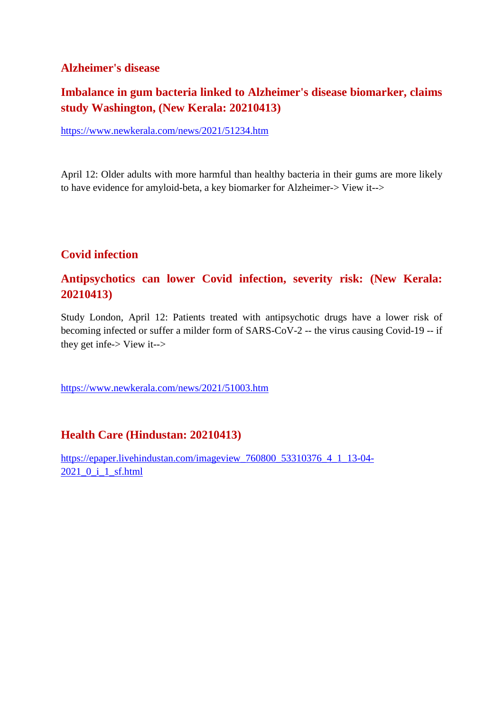### **Alzheimer's disease**

# **Imbalance in gum bacteria linked to Alzheimer's disease biomarker, claims study Washington, (New Kerala: 20210413)**

https://www.newkerala.com/news/2021/51234.htm

April 12: Older adults with more harmful than healthy bacteria in their gums are more likely to have evidence for amyloid-beta, a key biomarker for Alzheimer-> View it-->

### **Covid infection**

### **Antipsychotics can lower Covid infection, severity risk: (New Kerala: 20210413)**

Study London, April 12: Patients treated with antipsychotic drugs have a lower risk of becoming infected or suffer a milder form of SARS-CoV-2 -- the virus causing Covid-19 -- if they get infe-> View it-->

https://www.newkerala.com/news/2021/51003.htm

### **Health Care (Hindustan: 20210413)**

https://epaper.livehindustan.com/imageview\_760800\_53310376\_4\_1\_13-04- 2021\_0\_i\_1\_sf.html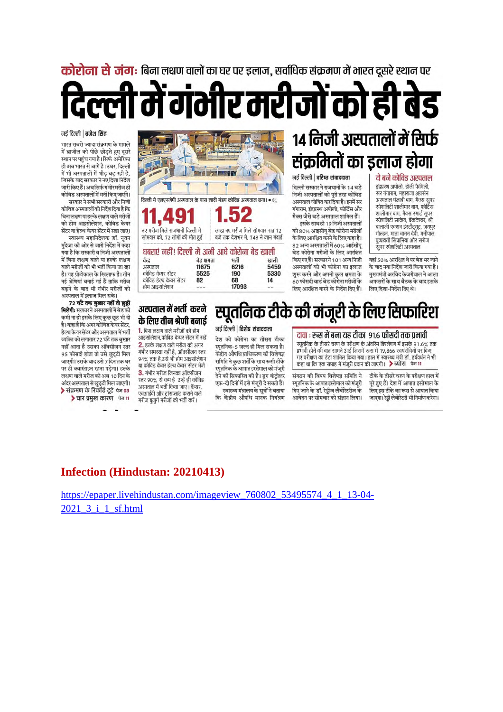कोरोना से जंग: बिना लक्षण वालों का घर पर डलाज. सर्वाधिक संक्रमण में भारत दसरे स्थान पर

र मरीजों को ही

### नई दिल्ली | ब्रजेश सिंह

भारत सबसे ज्यादा संक्रमण के मामले में ब्राजील को पीछे छोड़ते हुए दूसरे स्थान पर पहुंच गया है। सिर्फ अमेरिका ही अब भारत से आगे है। उधर, दिल्ली में भी अस्पतालों में भीड़ बढ़ रही है, जिसके बाद सरकार ने नए दिशा निर्देश जारी किए हैं। अब सिर्फ गंभीर मरीज ही कोविड अस्पतालों में भर्ती किए जाएंगे। सरकार ने सभी सरकारी और निजी

कोविड अस्पतालों को निर्देश दिया है कि बिना लक्षण या हल्के लक्षण वाले मरीजों को होम आइसोलेशन, कोविड केयर .<br>सेंटर वा हेल्थ केयर सेंटर में रखा जाए।

स्वास्थ्य महानिदेशक डॉ. नूतन मुदेजा की ओर से जारी निर्देश में कहा गया है कि सरकारी व निजी अस्पतालों में बिना लक्षण वाले या हल्के लक्षण वाले मरीजों को भी भर्ती किया जा रहा है। यह प्रोटोकाल के खिलाफ है। तीन नई श्रेणियां बनाई गई हैं ताकि मरीज बढ़ने के बाद भी गंभीर मरीजों को अस्पताल में इलाज मिल सके।

72 घंटे तक बुखार नहीं तो छुट्टी मिलेगी: सरकारने अस्पतालों में बेड की कमी ना हो इसके लिए कुछ छूट भी दी है। कहा है कि अगर कोविड केयर सेंटर, हेल्थ केयरसेंटर और अस्पताल में भर्ती व्यक्ति को लगातार 72 घंटे तक बुखार नहीं आता है उसका ऑक्सीजन स्तर 95 फीसदी होता तो उसे छुट्टी मिल जाएगी। उसके बाद उसे 7 दिन तक घर पर ही क्वारंटाइन रहना पड़ेगा। हल्के लक्षण वाले मरीज को अब 10 दिन के अंदर अस्पताल से छुट्टी मिल जाएगी। > संक्रमण के रिकॉर्ड टूटे के 03 > चार प्रमुख कारण बेज 11

 $\overline{\mathbf{R}^2}$ दिल्ली में एलएनजेपी अस्पताल के पास शादी मंडप कोविड अस्पताल बना। • प्रेट्र नए मरीज मिले राजधानी दिल्ली में लाख नए मरीज मिले सोमवार रात 12 सोमवार को, 72 लोगों की मौत हुई बजे तक देशभर में, 748 ने जान गंवाई

#### घबराएं नहीं! दिल्ली में अभी आधे कोरोना बेड खाली खाली

| केंद्र                 | बेड क्षमता | भर्ती |  |
|------------------------|------------|-------|--|
| अस्पताल                | 11675      | 6216  |  |
| कोविड केयर सेंटर       | 5525       | 190   |  |
| कोविड हेल्थ केयर सेंटर | 82         | 68    |  |
| होम आइसोलेशन           |            | 17093 |  |

### अस्पताल में भर्ती करने के लिए तीन श्रेणी बनाई

1. बिना लक्षण वाले मरीजों को होम आइसोलेशन,कोविड केयर सेंटर में रखें 2. हल्के लक्षण वाले मरीज को अगर गंभीर समस्या नहीं है. ऑक्सीजन स्तर 94% तक है,उसे भी होम आइसोलेशन या कोविड केयर हेल्थ केयर सेंटर भेजें 3. गंभीर मरीज जिनका ऑक्सीजन स्तर 90% से कम है उन्हें ही कोविड अस्पताल में भर्ती किया जाए। कैंसर, एचआईवी और ट्रांसप्लांट कराने वाले मरीज बुजुर्ग मरीजों को भर्ती करें ।

नई दिल्ली | विशेष संवाददाता देश को कोरोना का तीसरा टीका

5459

5330

 $14$ 

स्पूतनिक-5 जल्द ही मिल सकता है। केंद्रीय औषधि प्राधिकरण की विशेषज्ञ समिति ने कुछ शर्तों के साथ रूसी टीके .<br>स्पतनिक के आपात इस्तेमाल को मंजूरी ्<br>देने की सिफारिश की है। ड्रग कंट्रोलर एक-दो दिनों में इसे मंजूरी दे सकते हैं। स्वास्थ्य मंत्रालय के सूत्रों ने बताया कि केंद्रीय औषधि मानक नियंत्रण

14 निजी अस्पतालों में सिर्फ संक्रमितों का इलाज होगा

### नई दिल्ली | वरिष्ठ संवाददाता

दिल्ली सरकार ने राजधानी के 14 बडे निजी अस्पतालों को पूरी तरह कोविड अस्पताल घोषित कर दिया है। इनमें सर गंगाराम, इंद्रप्रस्थ अपोलो, फोर्टिस और मैक्स जैसे बड़े अस्पताल शामिल हैं। इसके साथ ही 19 निजी अस्पतालों

को 80% आइसीय बेड कोरोना मरीजों के लिए आरक्षित करने के लिए कहा है। 82 अन्य अस्पतालों में 60% आईसीयू बेड कोरोना मरीजों के लिए आरक्षित किएगए हैं। सरकारने 101 अन्य निजी अस्पतालों को भी कोरोना का इलाज शुरू करने और अपनी कुल क्षमता के 60 फीसदी वार्ड बेड कोरोना मरीजों के लिए आरक्षित करने के निर्देश दिए हैं।

### ये बने कोविड अस्पताल

इंद्रपुरथ अपोलो, होली फैमिली सर गंगाराम, महाराजा अगसेन अस्पताल पंजाबी बाग, मैक्स सूपर स्पेशलिटी शालीमार बाग, फोर्टिस शालीमार बाग, मैक्स स्मार्ट सुपर स्पेशलिटी साकेत, वेंकटेश्वर, श्री बालाजी एक्शन इंस्टीट्यूट, जयपुर गोल्डन, माता चानन देवी, मनीपाल, पृष्पावती सिंघानिया और सरोज .<br>सुपर स्पेशलिटी अस्पताल

यहां 50% आरक्षित थे पर बेड भर जाने के बाद नया निर्देश जारी किया गया है। मुख्यमंत्री अरविंद केजरीवाल ने आला अफसरों के साथ बैठक के बाद इसके लिए दिशा-निर्देश दिए थे।

# स्पूर्तानेक टीके की मंजूरी के लिए सिफारिश

### दावा : रूस में बना यह टीका 91.6 फीसदी तक प्रभावी

स्पूतनिक के तीसरे चरण के परीक्षण के अंतरिम विश्लेषण में इसके 91.6% तक प्रभावी होने की बात सामने आई जिसमें रूस में 19,866 स्वयंसेवियों पर किए नाए परीक्षण का डेटा शामिल किया गया। हाल में स्वास्थ्य मंत्री डॉ . हर्षवर्धन ने भी<br>कहा था कि एक सप्ताह में मंजूरी प्रदान की जाएगी। **>** ब्योरा पेज 11

संगठन की विषय विशेषज्ञ समिति ने स्पतनिक के आपात इस्तेमाल को मंजरी दिए जाने के डॉ. रेड्डीज लैबोरेटरीज के आवेदन पर सोमवार को संज्ञान लिया।

टीके के तीसरे चरण के परीक्षण हाल में पूरे हुए हैं। देश में आपात इस्तेमाल के लिए इस टीके का रूस से आयात किया जाएगा। रेड्डी लेबोरेटरी भी निर्माण करेगा।

### **Infection (Hindustan: 20210413)**

https://epaper.livehindustan.com/imageview 760802 53495574 4 1 13-04-2021 3 i 1 sf.html